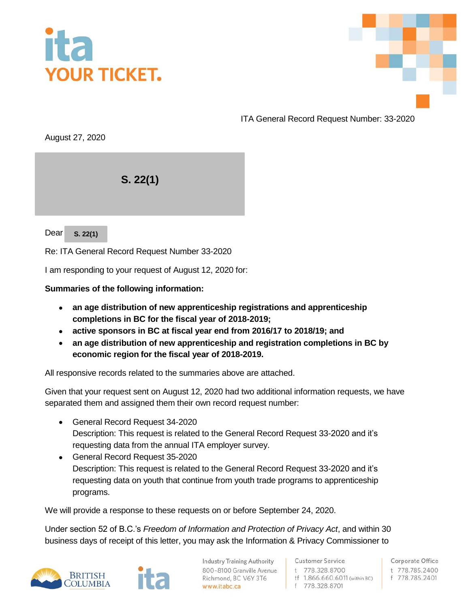



ITA General Record Request Number: 33-2020

August 27, 2020

 $S. 22(1)$ 

Dear **s**. 22(1)

Re: ITA General Record Request Number 33-2020

I am responding to your request of August 12, 2020 for:

## **Summaries of the following information:**

- **an age distribution of new apprenticeship registrations and apprenticeship completions in BC for the fiscal year of 2018-2019;**
- **active sponsors in BC at fiscal year end from 2016/17 to 2018/19; and**
- **an age distribution of new apprenticeship and registration completions in BC by economic region for the fiscal year of 2018-2019.**

All responsive records related to the summaries above are attached.

Given that your request sent on August 12, 2020 had two additional information requests, we have separated them and assigned them their own record request number:

- General Record Request 34-2020 Description: This request is related to the General Record Request 33-2020 and it's requesting data from the annual ITA employer survey.
- General Record Request 35-2020 Description: This request is related to the General Record Request 33-2020 and it's requesting data on youth that continue from youth trade programs to apprenticeship programs.

We will provide a response to these requests on or before September 24, 2020.

Under section 52 of B.C.'s *Freedom of Information and Protection of Privacy Act*, and within 30 business days of receipt of this letter, you may ask the Information & Privacy Commissioner to



**Industry Training Authority** 800-8100 Granville Avenue Richmond, BC V6Y 3T6 www.itabc.ca

**Customer Service** t 778.328.8700 tf 1.866.660.6011 (within BC) f 778.328.8701

Corporate Office t 778.785.2400 f 778.785.2401